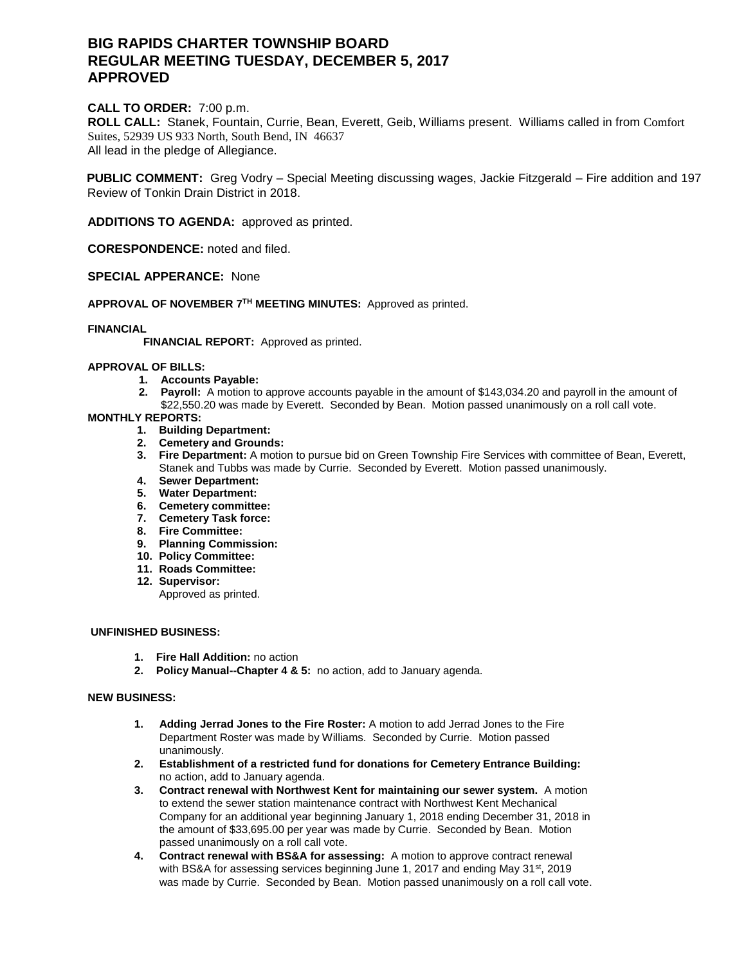# **BIG RAPIDS CHARTER TOWNSHIP BOARD REGULAR MEETING TUESDAY, DECEMBER 5, 2017 APPROVED**

# **CALL TO ORDER:** 7:00 p.m.

**ROLL CALL:** Stanek, Fountain, Currie, Bean, Everett, Geib, Williams present. Williams called in from Comfort Suites, 52939 US 933 North, South Bend, IN 46637 All lead in the pledge of Allegiance.

**PUBLIC COMMENT:** Greg Vodry – Special Meeting discussing wages, Jackie Fitzgerald – Fire addition and 197 Review of Tonkin Drain District in 2018.

**ADDITIONS TO AGENDA:** approved as printed.

**CORESPONDENCE:** noted and filed.

**SPECIAL APPERANCE:** None

**APPROVAL OF NOVEMBER 7 TH MEETING MINUTES:** Approved as printed.

## **FINANCIAL**

 **FINANCIAL REPORT:** Approved as printed.

## **APPROVAL OF BILLS:**

- **1. Accounts Payable:**
- **2. Payroll:** A motion to approve accounts payable in the amount of \$143,034.20 and payroll in the amount of \$22,550.20 was made by Everett. Seconded by Bean. Motion passed unanimously on a roll call vote.

## **MONTHLY REPORTS:**

- **1. Building Department:**
- **2. Cemetery and Grounds:**
- **3. Fire Department:** A motion to pursue bid on Green Township Fire Services with committee of Bean, Everett, Stanek and Tubbs was made by Currie. Seconded by Everett. Motion passed unanimously.
- **4. Sewer Department:**
- **5. Water Department:**
- **6. Cemetery committee:**
- **7. Cemetery Task force:**
- **8. Fire Committee:**
- **9. Planning Commission:**
- **10. Policy Committee:**
- **11. Roads Committee:**
- **12. Supervisor:** 
	- Approved as printed.

# **UNFINISHED BUSINESS:**

- **1. Fire Hall Addition:** no action
- **2. Policy Manual--Chapter 4 & 5:** no action, add to January agenda.

## **NEW BUSINESS:**

- **1. Adding Jerrad Jones to the Fire Roster:** A motion to add Jerrad Jones to the Fire Department Roster was made by Williams. Seconded by Currie. Motion passed unanimously.
- **2. Establishment of a restricted fund for donations for Cemetery Entrance Building:**  no action, add to January agenda.
- **3. Contract renewal with Northwest Kent for maintaining our sewer system.** A motion to extend the sewer station maintenance contract with Northwest Kent Mechanical Company for an additional year beginning January 1, 2018 ending December 31, 2018 in the amount of \$33,695.00 per year was made by Currie. Seconded by Bean. Motion passed unanimously on a roll call vote.
- **4. Contract renewal with BS&A for assessing:** A motion to approve contract renewal with BS&A for assessing services beginning June 1, 2017 and ending May  $31<sup>st</sup>$ , 2019 was made by Currie. Seconded by Bean. Motion passed unanimously on a roll call vote.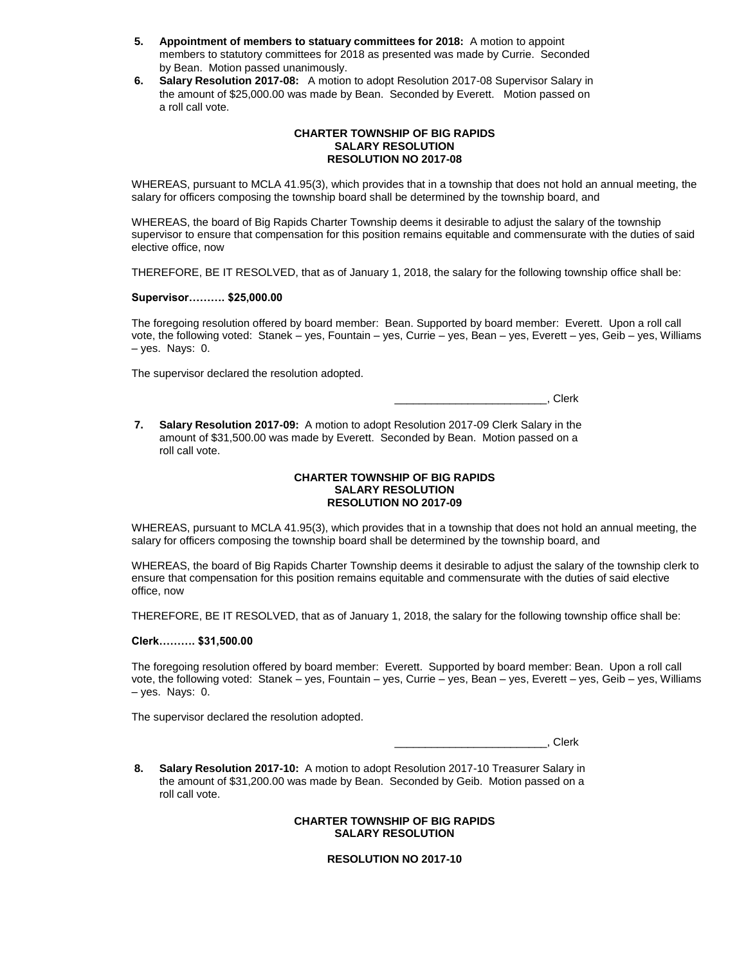- **5. Appointment of members to statuary committees for 2018:** A motion to appoint members to statutory committees for 2018 as presented was made by Currie. Seconded by Bean. Motion passed unanimously.
- **6. Salary Resolution 2017-08:** A motion to adopt Resolution 2017-08 Supervisor Salary in the amount of \$25,000.00 was made by Bean. Seconded by Everett. Motion passed on a roll call vote.

#### **CHARTER TOWNSHIP OF BIG RAPIDS SALARY RESOLUTION RESOLUTION NO 2017-08**

WHEREAS, pursuant to MCLA 41.95(3), which provides that in a township that does not hold an annual meeting, the salary for officers composing the township board shall be determined by the township board, and

WHEREAS, the board of Big Rapids Charter Township deems it desirable to adjust the salary of the township supervisor to ensure that compensation for this position remains equitable and commensurate with the duties of said elective office, now

THEREFORE, BE IT RESOLVED, that as of January 1, 2018, the salary for the following township office shall be:

## **Supervisor………. \$25,000.00**

The foregoing resolution offered by board member: Bean. Supported by board member: Everett. Upon a roll call vote, the following voted: Stanek – yes, Fountain – yes, Currie – yes, Bean – yes, Everett – yes, Geib – yes, Williams – yes. Nays: 0.

The supervisor declared the resolution adopted.

\_\_\_\_\_\_\_\_\_\_\_\_\_\_\_\_\_\_\_\_\_\_\_\_\_, Clerk

**7. Salary Resolution 2017-09:** A motion to adopt Resolution 2017-09 Clerk Salary in the amount of \$31,500.00 was made by Everett. Seconded by Bean. Motion passed on a roll call vote.

#### **CHARTER TOWNSHIP OF BIG RAPIDS SALARY RESOLUTION RESOLUTION NO 2017-09**

WHEREAS, pursuant to MCLA 41.95(3), which provides that in a township that does not hold an annual meeting, the salary for officers composing the township board shall be determined by the township board, and

WHEREAS, the board of Big Rapids Charter Township deems it desirable to adjust the salary of the township clerk to ensure that compensation for this position remains equitable and commensurate with the duties of said elective office, now

THEREFORE, BE IT RESOLVED, that as of January 1, 2018, the salary for the following township office shall be:

## **Clerk………. \$31,500.00**

The foregoing resolution offered by board member: Everett. Supported by board member: Bean. Upon a roll call vote, the following voted: Stanek – yes, Fountain – yes, Currie – yes, Bean – yes, Everett – yes, Geib – yes, Williams – yes. Nays: 0.

The supervisor declared the resolution adopted.

\_\_\_\_\_\_\_\_\_\_\_\_\_\_\_\_\_\_\_\_\_\_\_\_\_, Clerk

**8. Salary Resolution 2017-10:** A motion to adopt Resolution 2017-10 Treasurer Salary in the amount of \$31,200.00 was made by Bean. Seconded by Geib. Motion passed on a roll call vote.

> **CHARTER TOWNSHIP OF BIG RAPIDS SALARY RESOLUTION**

> > **RESOLUTION NO 2017-10**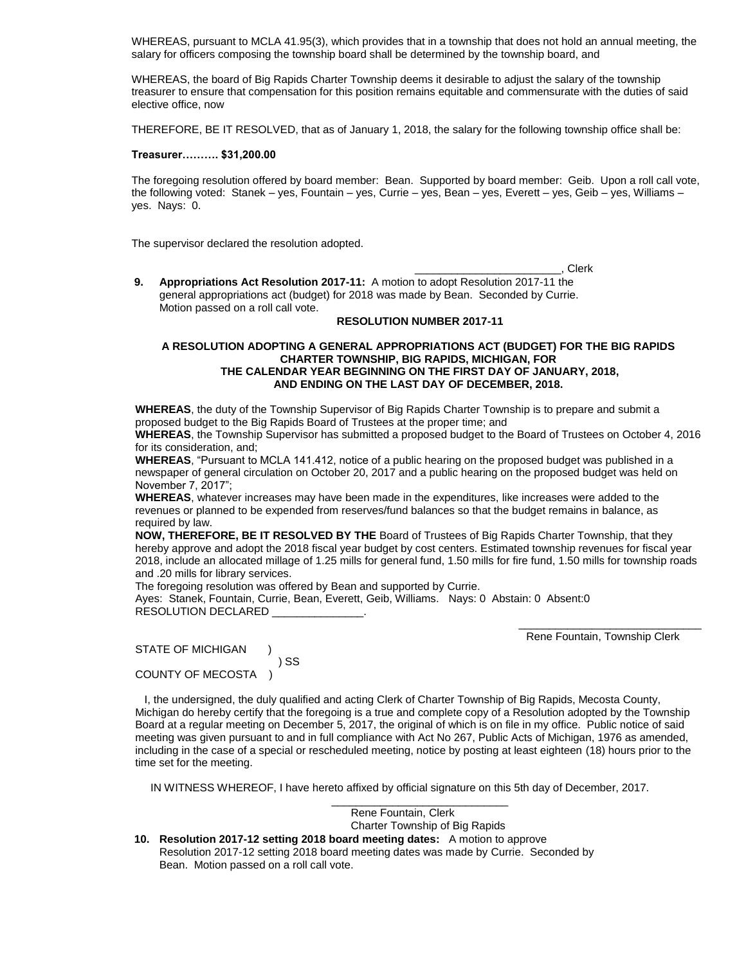WHEREAS, pursuant to MCLA 41.95(3), which provides that in a township that does not hold an annual meeting, the salary for officers composing the township board shall be determined by the township board, and

WHEREAS, the board of Big Rapids Charter Township deems it desirable to adjust the salary of the township treasurer to ensure that compensation for this position remains equitable and commensurate with the duties of said elective office, now

THEREFORE, BE IT RESOLVED, that as of January 1, 2018, the salary for the following township office shall be:

#### **Treasurer………. \$31,200.00**

The foregoing resolution offered by board member: Bean. Supported by board member: Geib. Upon a roll call vote, the following voted: Stanek – yes, Fountain – yes, Currie – yes, Bean – yes, Everett – yes, Geib – yes, Williams – yes. Nays: 0.

The supervisor declared the resolution adopted.

\_\_\_\_\_\_\_\_\_\_\_\_\_\_\_\_\_\_\_\_\_\_\_\_, Clerk

**9. Appropriations Act Resolution 2017-11:** A motion to adopt Resolution 2017-11 the general appropriations act (budget) for 2018 was made by Bean. Seconded by Currie. Motion passed on a roll call vote.

#### **RESOLUTION NUMBER 2017-11**

#### **A RESOLUTION ADOPTING A GENERAL APPROPRIATIONS ACT (BUDGET) FOR THE BIG RAPIDS CHARTER TOWNSHIP, BIG RAPIDS, MICHIGAN, FOR THE CALENDAR YEAR BEGINNING ON THE FIRST DAY OF JANUARY, 2018, AND ENDING ON THE LAST DAY OF DECEMBER, 2018.**

**WHEREAS**, the duty of the Township Supervisor of Big Rapids Charter Township is to prepare and submit a proposed budget to the Big Rapids Board of Trustees at the proper time; and

**WHEREAS**, the Township Supervisor has submitted a proposed budget to the Board of Trustees on October 4, 2016 for its consideration, and;

**WHEREAS**, "Pursuant to MCLA 141.412, notice of a public hearing on the proposed budget was published in a newspaper of general circulation on October 20, 2017 and a public hearing on the proposed budget was held on November 7, 2017";

**WHEREAS**, whatever increases may have been made in the expenditures, like increases were added to the revenues or planned to be expended from reserves/fund balances so that the budget remains in balance, as required by law.

**NOW, THEREFORE, BE IT RESOLVED BY THE** Board of Trustees of Big Rapids Charter Township, that they hereby approve and adopt the 2018 fiscal year budget by cost centers. Estimated township revenues for fiscal year 2018, include an allocated millage of 1.25 mills for general fund, 1.50 mills for fire fund, 1.50 mills for township roads and .20 mills for library services.

The foregoing resolution was offered by Bean and supported by Currie.

Ayes: Stanek, Fountain, Currie, Bean, Everett, Geib, Williams. Nays: 0 Abstain: 0 Absent:0 RESOLUTION DECLARED \_\_\_\_\_\_\_\_\_\_\_\_\_\_\_.

Rene Fountain, Township Clerk

 $\overline{\phantom{a}}$  ,  $\overline{\phantom{a}}$  ,  $\overline{\phantom{a}}$  ,  $\overline{\phantom{a}}$  ,  $\overline{\phantom{a}}$  ,  $\overline{\phantom{a}}$  ,  $\overline{\phantom{a}}$  ,  $\overline{\phantom{a}}$  ,  $\overline{\phantom{a}}$  ,  $\overline{\phantom{a}}$  ,  $\overline{\phantom{a}}$  ,  $\overline{\phantom{a}}$  ,  $\overline{\phantom{a}}$  ,  $\overline{\phantom{a}}$  ,  $\overline{\phantom{a}}$  ,  $\overline{\phantom{a}}$ 

STATE OF MICHIGAN ) SS COUNTY OF MECOSTA )

 I, the undersigned, the duly qualified and acting Clerk of Charter Township of Big Rapids, Mecosta County, Michigan do hereby certify that the foregoing is a true and complete copy of a Resolution adopted by the Township Board at a regular meeting on December 5, 2017, the original of which is on file in my office. Public notice of said meeting was given pursuant to and in full compliance with Act No 267, Public Acts of Michigan, 1976 as amended, including in the case of a special or rescheduled meeting, notice by posting at least eighteen (18) hours prior to the time set for the meeting.

\_\_\_\_\_\_\_\_\_\_\_\_\_\_\_\_\_\_\_\_\_\_\_\_\_\_\_\_\_

IN WITNESS WHEREOF, I have hereto affixed by official signature on this 5th day of December, 2017.

 Rene Fountain, Clerk Charter Township of Big Rapids **10. Resolution 2017-12 setting 2018 board meeting dates:** A motion to approve Resolution 2017-12 setting 2018 board meeting dates was made by Currie. Seconded by Bean. Motion passed on a roll call vote.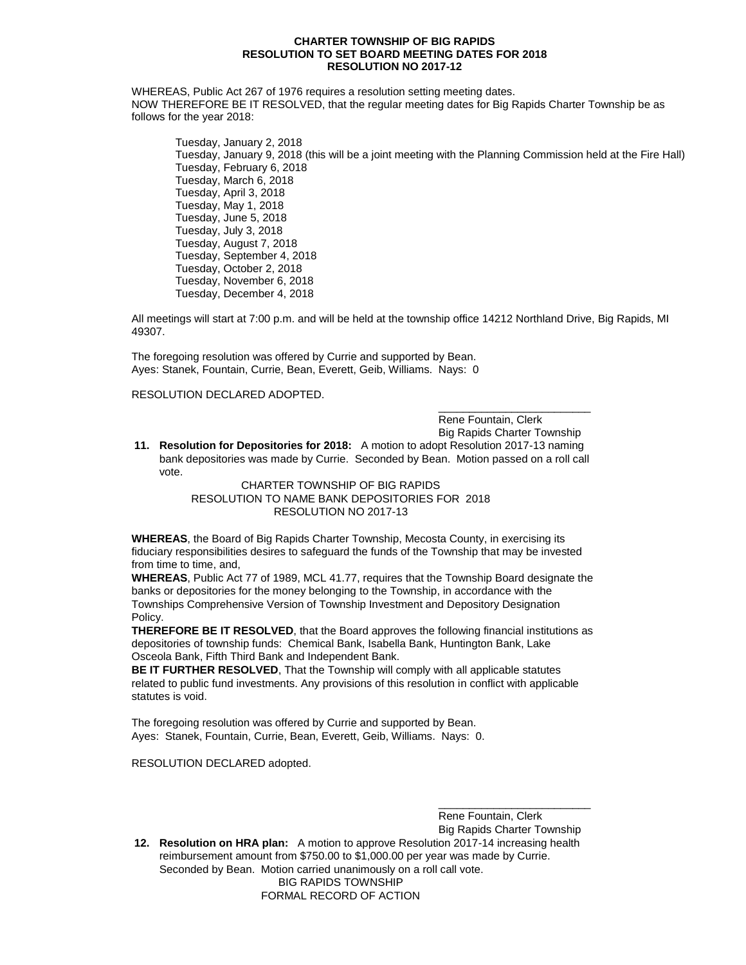#### **CHARTER TOWNSHIP OF BIG RAPIDS RESOLUTION TO SET BOARD MEETING DATES FOR 2018 RESOLUTION NO 2017-12**

WHEREAS, Public Act 267 of 1976 requires a resolution setting meeting dates. NOW THEREFORE BE IT RESOLVED, that the regular meeting dates for Big Rapids Charter Township be as follows for the year 2018:

Tuesday, January 2, 2018 Tuesday, January 9, 2018 (this will be a joint meeting with the Planning Commission held at the Fire Hall) Tuesday, February 6, 2018 Tuesday, March 6, 2018 Tuesday, April 3, 2018 Tuesday, May 1, 2018 Tuesday, June 5, 2018 Tuesday, July 3, 2018 Tuesday, August 7, 2018 Tuesday, September 4, 2018 Tuesday, October 2, 2018 Tuesday, November 6, 2018 Tuesday, December 4, 2018

All meetings will start at 7:00 p.m. and will be held at the township office 14212 Northland Drive, Big Rapids, MI 49307.

The foregoing resolution was offered by Currie and supported by Bean. Ayes: Stanek, Fountain, Currie, Bean, Everett, Geib, Williams. Nays: 0

## RESOLUTION DECLARED ADOPTED.

Rene Fountain, Clerk Big Rapids Charter Township

\_\_\_\_\_\_\_\_\_\_\_\_\_\_\_\_\_\_\_\_\_\_\_\_\_

**11. Resolution for Depositories for 2018:** A motion to adopt Resolution 2017-13 naming bank depositories was made by Currie. Seconded by Bean. Motion passed on a roll call vote.

> CHARTER TOWNSHIP OF BIG RAPIDS RESOLUTION TO NAME BANK DEPOSITORIES FOR 2018 RESOLUTION NO 2017-13

**WHEREAS**, the Board of Big Rapids Charter Township, Mecosta County, in exercising its fiduciary responsibilities desires to safeguard the funds of the Township that may be invested from time to time, and,

**WHEREAS**, Public Act 77 of 1989, MCL 41.77, requires that the Township Board designate the banks or depositories for the money belonging to the Township, in accordance with the Townships Comprehensive Version of Township Investment and Depository Designation Policy.

**THEREFORE BE IT RESOLVED**, that the Board approves the following financial institutions as depositories of township funds: Chemical Bank, Isabella Bank, Huntington Bank, Lake Osceola Bank, Fifth Third Bank and Independent Bank.

**BE IT FURTHER RESOLVED**, That the Township will comply with all applicable statutes related to public fund investments. Any provisions of this resolution in conflict with applicable statutes is void.

The foregoing resolution was offered by Currie and supported by Bean. Ayes: Stanek, Fountain, Currie, Bean, Everett, Geib, Williams. Nays: 0.

RESOLUTION DECLARED adopted.

\_\_\_\_\_\_\_\_\_\_\_\_\_\_\_\_\_\_\_\_\_\_\_\_\_ Rene Fountain, Clerk Big Rapids Charter Township

**12. Resolution on HRA plan:** A motion to approve Resolution 2017-14 increasing health reimbursement amount from \$750.00 to \$1,000.00 per year was made by Currie. Seconded by Bean. Motion carried unanimously on a roll call vote. BIG RAPIDS TOWNSHIP

FORMAL RECORD OF ACTION